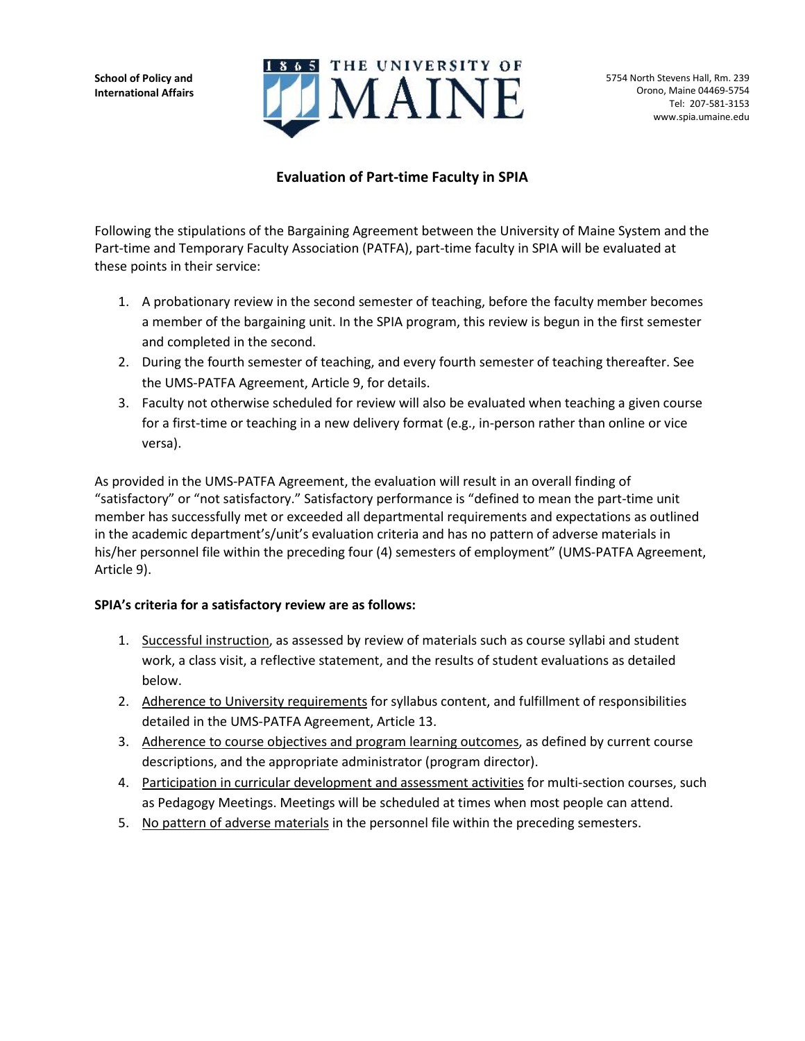**School of Policy and International Affairs**



## **Evaluation of Part-time Faculty in SPIA**

Following the stipulations of the Bargaining Agreement between the University of Maine System and the Part-time and Temporary Faculty Association (PATFA), part-time faculty in SPIA will be evaluated at these points in their service:

- 1. A probationary review in the second semester of teaching, before the faculty member becomes a member of the bargaining unit. In the SPIA program, this review is begun in the first semester and completed in the second.
- 2. During the fourth semester of teaching, and every fourth semester of teaching thereafter. See the UMS-PATFA Agreement, Article 9, for details.
- 3. Faculty not otherwise scheduled for review will also be evaluated when teaching a given course for a first-time or teaching in a new delivery format (e.g., in-person rather than online or vice versa).

As provided in the UMS-PATFA Agreement, the evaluation will result in an overall finding of "satisfactory" or "not satisfactory." Satisfactory performance is "defined to mean the part-time unit member has successfully met or exceeded all departmental requirements and expectations as outlined in the academic department's/unit's evaluation criteria and has no pattern of adverse materials in his/her personnel file within the preceding four (4) semesters of employment" (UMS-PATFA Agreement, Article 9).

## **SPIA's criteria for a satisfactory review are as follows:**

- 1. Successful instruction, as assessed by review of materials such as course syllabi and student work, a class visit, a reflective statement, and the results of student evaluations as detailed below.
- 2. Adherence to University requirements for syllabus content, and fulfillment of responsibilities detailed in the UMS-PATFA Agreement, Article 13.
- 3. Adherence to course objectives and program learning outcomes, as defined by current course descriptions, and the appropriate administrator (program director).
- 4. Participation in curricular development and assessment activities for multi-section courses, such as Pedagogy Meetings. Meetings will be scheduled at times when most people can attend.
- 5. No pattern of adverse materials in the personnel file within the preceding semesters.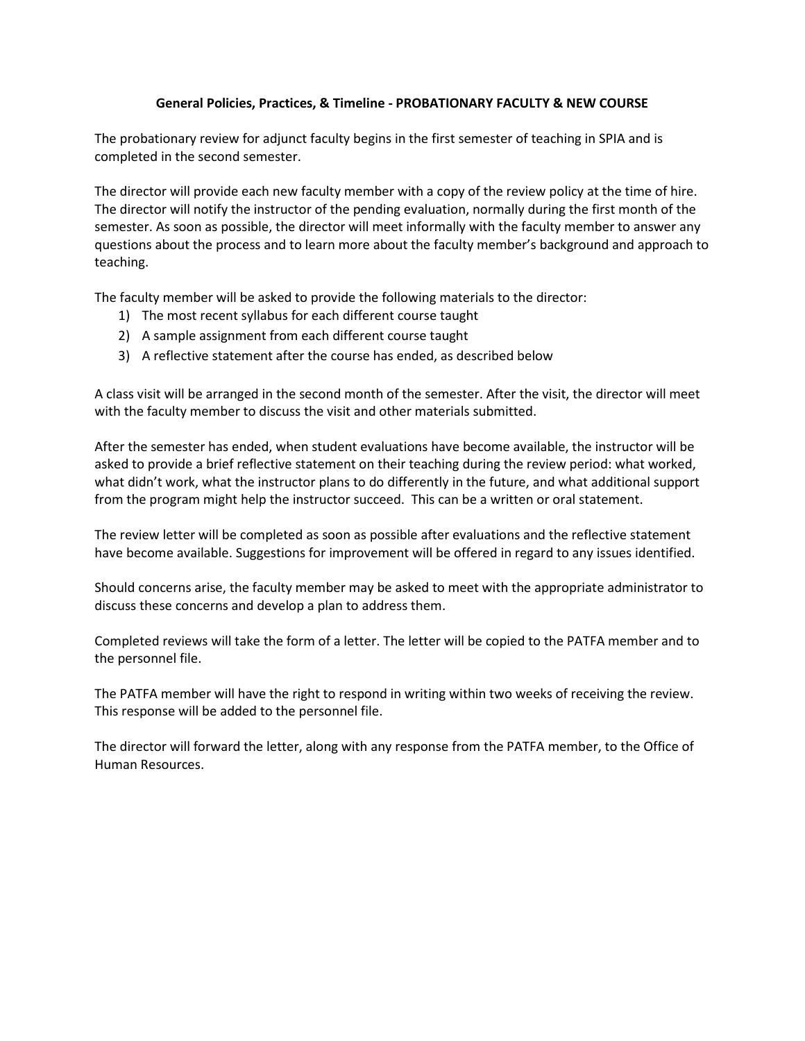## **General Policies, Practices, & Timeline - PROBATIONARY FACULTY & NEW COURSE**

The probationary review for adjunct faculty begins in the first semester of teaching in SPIA and is completed in the second semester.

The director will provide each new faculty member with a copy of the review policy at the time of hire. The director will notify the instructor of the pending evaluation, normally during the first month of the semester. As soon as possible, the director will meet informally with the faculty member to answer any questions about the process and to learn more about the faculty member's background and approach to teaching.

The faculty member will be asked to provide the following materials to the director:

- 1) The most recent syllabus for each different course taught
- 2) A sample assignment from each different course taught
- 3) A reflective statement after the course has ended, as described below

A class visit will be arranged in the second month of the semester. After the visit, the director will meet with the faculty member to discuss the visit and other materials submitted.

After the semester has ended, when student evaluations have become available, the instructor will be asked to provide a brief reflective statement on their teaching during the review period: what worked, what didn't work, what the instructor plans to do differently in the future, and what additional support from the program might help the instructor succeed. This can be a written or oral statement.

The review letter will be completed as soon as possible after evaluations and the reflective statement have become available. Suggestions for improvement will be offered in regard to any issues identified.

Should concerns arise, the faculty member may be asked to meet with the appropriate administrator to discuss these concerns and develop a plan to address them.

Completed reviews will take the form of a letter. The letter will be copied to the PATFA member and to the personnel file.

The PATFA member will have the right to respond in writing within two weeks of receiving the review. This response will be added to the personnel file.

The director will forward the letter, along with any response from the PATFA member, to the Office of Human Resources.